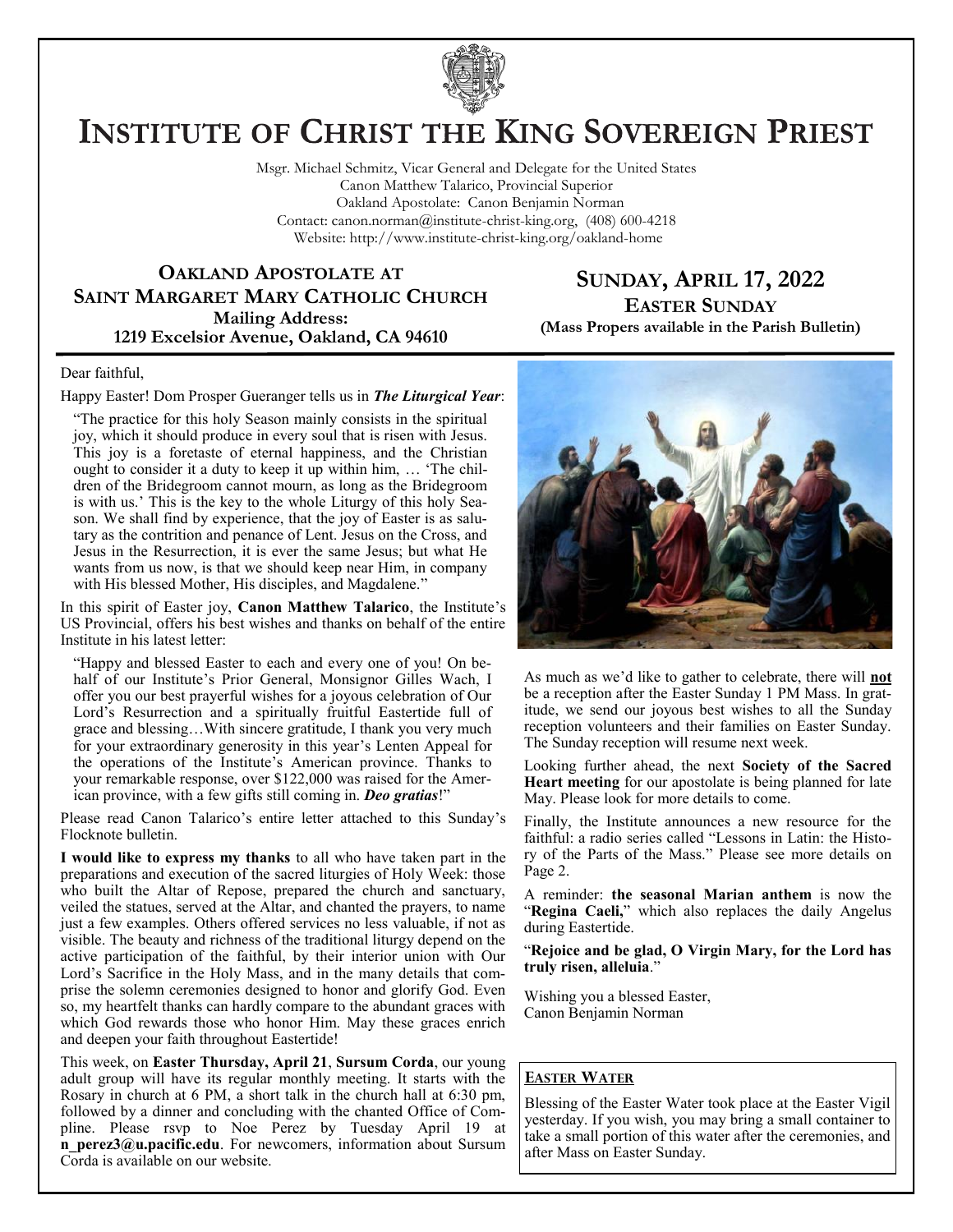

# **INSTITUTE OF CHRIST THE KING SOVEREIGN PRIEST**

Msgr. Michael Schmitz, Vicar General and Delegate for the United States Canon Matthew Talarico, Provincial Superior Oakland Apostolate: Canon Benjamin Norman Contact: canon.norman@institute-christ-king.org, (408) 600-4218 Website: http://www.institute-christ-king.org/oakland-home

**OAKLAND APOSTOLATE AT SAINT MARGARET MARY CATHOLIC CHURCH Mailing Address: 1219 Excelsior Avenue, Oakland, CA 94610**

**SUNDAY, APRIL 17, 2022 EASTER SUNDAY (Mass Propers available in the Parish Bulletin)**

#### Dear faithful,

#### Happy Easter! Dom Prosper Gueranger tells us in *The Liturgical Year*:

"The practice for this holy Season mainly consists in the spiritual joy, which it should produce in every soul that is risen with Jesus. This joy is a foretaste of eternal happiness, and the Christian ought to consider it a duty to keep it up within him, … 'The children of the Bridegroom cannot mourn, as long as the Bridegroom is with us.' This is the key to the whole Liturgy of this holy Season. We shall find by experience, that the joy of Easter is as salutary as the contrition and penance of Lent. Jesus on the Cross, and Jesus in the Resurrection, it is ever the same Jesus; but what He wants from us now, is that we should keep near Him, in company with His blessed Mother, His disciples, and Magdalene."

In this spirit of Easter joy, **Canon Matthew Talarico**, the Institute's US Provincial, offers his best wishes and thanks on behalf of the entire Institute in his latest letter:

"Happy and blessed Easter to each and every one of you! On behalf of our Institute's Prior General, Monsignor Gilles Wach, I offer you our best prayerful wishes for a joyous celebration of Our Lord's Resurrection and a spiritually fruitful Eastertide full of grace and blessing…With sincere gratitude, I thank you very much for your extraordinary generosity in this year's Lenten Appeal for the operations of the Institute's American province. Thanks to your remarkable response, over \$122,000 was raised for the American province, with a few gifts still coming in. *Deo gratias*!"

Please read Canon Talarico's entire letter attached to this Sunday's Flocknote bulletin.

**I would like to express my thanks** to all who have taken part in the preparations and execution of the sacred liturgies of Holy Week: those who built the Altar of Repose, prepared the church and sanctuary, veiled the statues, served at the Altar, and chanted the prayers, to name just a few examples. Others offered services no less valuable, if not as visible. The beauty and richness of the traditional liturgy depend on the active participation of the faithful, by their interior union with Our Lord's Sacrifice in the Holy Mass, and in the many details that comprise the solemn ceremonies designed to honor and glorify God. Even so, my heartfelt thanks can hardly compare to the abundant graces with which God rewards those who honor Him. May these graces enrich and deepen your faith throughout Eastertide!

This week, on **Easter Thursday, April 21**, **Sursum Corda**, our young adult group will have its regular monthly meeting. It starts with the Rosary in church at 6 PM, a short talk in the church hall at 6:30 pm, followed by a dinner and concluding with the chanted Office of Compline. Please rsvp to Noe Perez by Tuesday April 19 at **n** perez3@u.pacific.edu. For newcomers, information about Sursum Corda is available on our website.



As much as we'd like to gather to celebrate, there will **not** be a reception after the Easter Sunday 1 PM Mass. In gratitude, we send our joyous best wishes to all the Sunday reception volunteers and their families on Easter Sunday. The Sunday reception will resume next week.

Looking further ahead, the next **Society of the Sacred Heart meeting** for our apostolate is being planned for late May. Please look for more details to come.

Finally, the Institute announces a new resource for the faithful: a radio series called "Lessons in Latin: the History of the Parts of the Mass." Please see more details on Page 2.

A reminder: **the seasonal Marian anthem** is now the "**Regina Caeli,**" which also replaces the daily Angelus during Eastertide.

"**Rejoice and be glad, O Virgin Mary, for the Lord has truly risen, alleluia**."

Wishing you a blessed Easter, Canon Benjamin Norman

#### **EASTER WATER**

Blessing of the Easter Water took place at the Easter Vigil yesterday. If you wish, you may bring a small container to take a small portion of this water after the ceremonies, and after Mass on Easter Sunday.